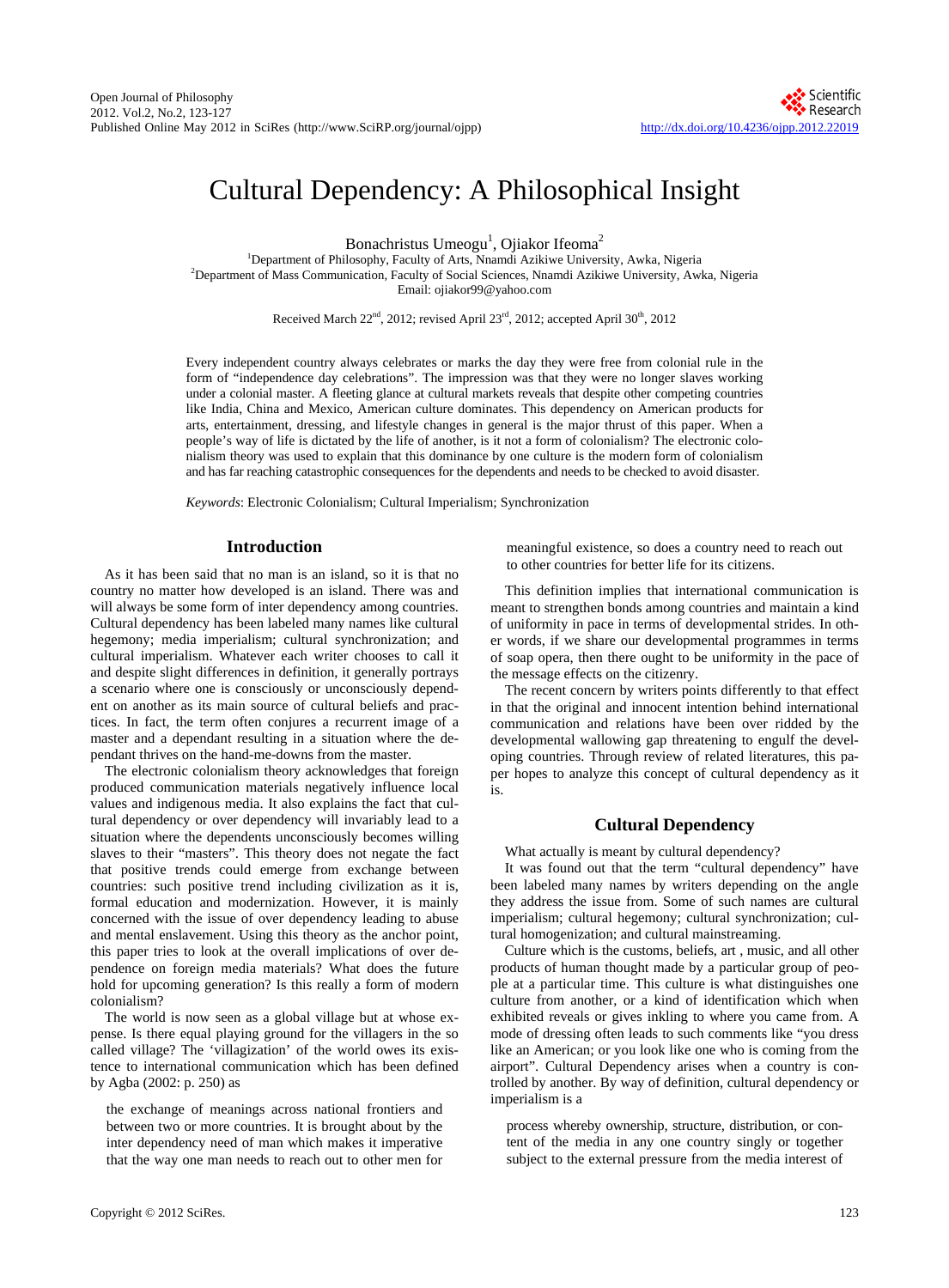# Cultural Dependency: A Philosophical Insight

Bonachristus Umeogu<sup>1</sup>, Ojiakor Ifeoma<sup>2</sup>

<sup>1</sup>Department of Philosophy, Faculty of Arts, Nnamdi Azikiwe University, Awka, Nigeria<br><sup>2</sup>Department of Mass Communication, Faculty of Social Sciences, Nnamdi Azikiwe University, Avy <sup>2</sup>Department of Mass Communication, Faculty of Social Sciences, Nnamdi Azikiwe University, Awka, Nigeria Email: ojiakor99@yahoo.com

Received March 22<sup>nd</sup>, 2012; revised April 23<sup>rd</sup>, 2012; accepted April 30<sup>th</sup>, 2012

Every independent country always celebrates or marks the day they were free from colonial rule in the form of "independence day celebrations". The impression was that they were no longer slaves working under a colonial master. A fleeting glance at cultural markets reveals that despite other competing countries like India, China and Mexico, American culture dominates. This dependency on American products for arts, entertainment, dressing, and lifestyle changes in general is the major thrust of this paper. When a people's way of life is dictated by the life of another, is it not a form of colonialism? The electronic colonialism theory was used to explain that this dominance by one culture is the modern form of colonialism and has far reaching catastrophic consequences for the dependents and needs to be checked to avoid disaster.

*Keywords*: Electronic Colonialism; Cultural Imperialism; Synchronization

## **Introduction**

As it has been said that no man is an island, so it is that no country no matter how developed is an island. There was and will always be some form of inter dependency among countries. Cultural dependency has been labeled many names like cultural hegemony; media imperialism; cultural synchronization; and cultural imperialism. Whatever each writer chooses to call it and despite slight differences in definition, it generally portrays a scenario where one is consciously or unconsciously dependent on another as its main source of cultural beliefs and practices. In fact, the term often conjures a recurrent image of a master and a dependant resulting in a situation where the dependant thrives on the hand-me-downs from the master.

The electronic colonialism theory acknowledges that foreign produced communication materials negatively influence local values and indigenous media. It also explains the fact that cultural dependency or over dependency will invariably lead to a situation where the dependents unconsciously becomes willing slaves to their "masters". This theory does not negate the fact that positive trends could emerge from exchange between countries: such positive trend including civilization as it is, formal education and modernization. However, it is mainly concerned with the issue of over dependency leading to abuse and mental enslavement. Using this theory as the anchor point, this paper tries to look at the overall implications of over dependence on foreign media materials? What does the future hold for upcoming generation? Is this really a form of modern colonialism?

The world is now seen as a global village but at whose expense. Is there equal playing ground for the villagers in the so called village? The 'villagization' of the world owes its existence to international communication which has been defined by Agba (2002: p. 250) as

the exchange of meanings across national frontiers and between two or more countries. It is brought about by the inter dependency need of man which makes it imperative that the way one man needs to reach out to other men for

meaningful existence, so does a country need to reach out to other countries for better life for its citizens.

This definition implies that international communication is meant to strengthen bonds among countries and maintain a kind of uniformity in pace in terms of developmental strides. In other words, if we share our developmental programmes in terms of soap opera, then there ought to be uniformity in the pace of the message effects on the citizenry.

The recent concern by writers points differently to that effect in that the original and innocent intention behind international communication and relations have been over ridded by the developmental wallowing gap threatening to engulf the developing countries. Through review of related literatures, this paper hopes to analyze this concept of cultural dependency as it is.

## **Cultural Dependency**

What actually is meant by cultural dependency?

It was found out that the term "cultural dependency" have been labeled many names by writers depending on the angle they address the issue from. Some of such names are cultural imperialism; cultural hegemony; cultural synchronization; cultural homogenization; and cultural mainstreaming.

Culture which is the customs, beliefs, art , music, and all other products of human thought made by a particular group of people at a particular time. This culture is what distinguishes one culture from another, or a kind of identification which when exhibited reveals or gives inkling to where you came from. A mode of dressing often leads to such comments like "you dress like an American; or you look like one who is coming from the airport". Cultural Dependency arises when a country is controlled by another. By way of definition, cultural dependency or imperialism is a

process whereby ownership, structure, distribution, or content of the media in any one country singly or together subject to the external pressure from the media interest of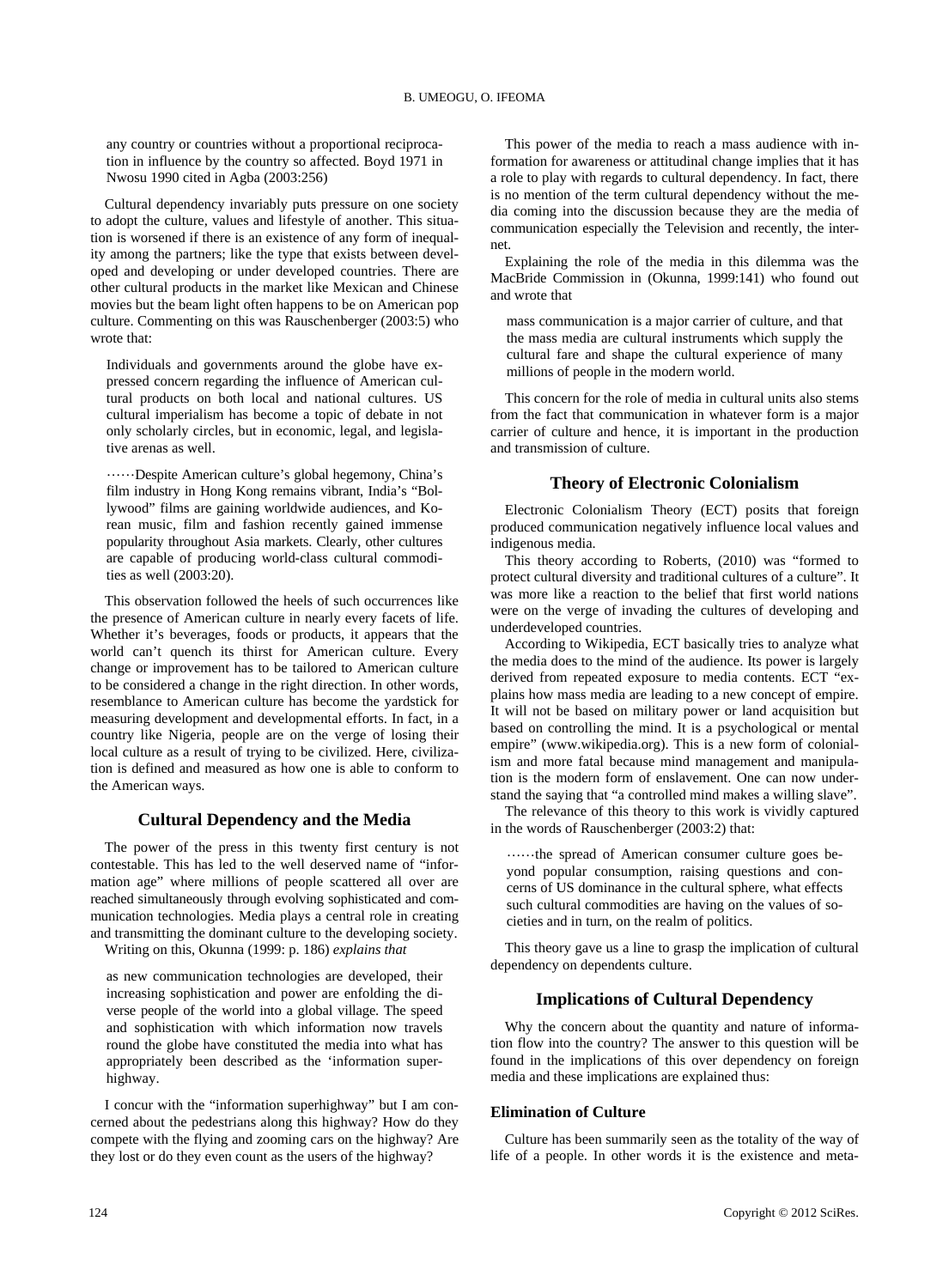any country or countries without a proportional reciprocation in influence by the country so affected. Boyd 1971 in Nwosu 1990 cited in Agba (2003:256)

Cultural dependency invariably puts pressure on one society to adopt the culture, values and lifestyle of another. This situation is worsened if there is an existence of any form of inequality among the partners; like the type that exists between developed and developing or under developed countries. There are other cultural products in the market like Mexican and Chinese movies but the beam light often happens to be on American pop culture. Commenting on this was Rauschenberger (2003:5) who wrote that:

Individuals and governments around the globe have expressed concern regarding the influence of American cultural products on both local and national cultures. US cultural imperialism has become a topic of debate in not only scholarly circles, but in economic, legal, and legislative arenas as well.

……Despite American culture's global hegemony, China's film industry in Hong Kong remains vibrant, India's "Bollywood" films are gaining worldwide audiences, and Korean music, film and fashion recently gained immense popularity throughout Asia markets. Clearly, other cultures are capable of producing world-class cultural commodities as well (2003:20).

This observation followed the heels of such occurrences like the presence of American culture in nearly every facets of life. Whether it's beverages, foods or products, it appears that the world can't quench its thirst for American culture. Every change or improvement has to be tailored to American culture to be considered a change in the right direction. In other words, resemblance to American culture has become the yardstick for measuring development and developmental efforts. In fact, in a country like Nigeria, people are on the verge of losing their local culture as a result of trying to be civilized. Here, civilization is defined and measured as how one is able to conform to the American ways.

## **Cultural Dependency and the Media**

The power of the press in this twenty first century is not contestable. This has led to the well deserved name of "information age" where millions of people scattered all over are reached simultaneously through evolving sophisticated and communication technologies. Media plays a central role in creating and transmitting the dominant culture to the developing society.

Writing on this, Okunna (1999: p. 186) *explains that*

as new communication technologies are developed, their increasing sophistication and power are enfolding the diverse people of the world into a global village. The speed and sophistication with which information now travels round the globe have constituted the media into what has appropriately been described as the 'information superhighway.

I concur with the "information superhighway" but I am concerned about the pedestrians along this highway? How do they compete with the flying and zooming cars on the highway? Are they lost or do they even count as the users of the highway?

This power of the media to reach a mass audience with information for awareness or attitudinal change implies that it has a role to play with regards to cultural dependency. In fact, there is no mention of the term cultural dependency without the media coming into the discussion because they are the media of communication especially the Television and recently, the internet.

Explaining the role of the media in this dilemma was the MacBride Commission in (Okunna, 1999:141) who found out and wrote that

mass communication is a major carrier of culture, and that the mass media are cultural instruments which supply the cultural fare and shape the cultural experience of many millions of people in the modern world.

This concern for the role of media in cultural units also stems from the fact that communication in whatever form is a major carrier of culture and hence, it is important in the production and transmission of culture.

## **Theory of Electronic Colonialism**

Electronic Colonialism Theory (ECT) posits that foreign produced communication negatively influence local values and indigenous media.

This theory according to Roberts, (2010) was "formed to protect cultural diversity and traditional cultures of a culture". It was more like a reaction to the belief that first world nations were on the verge of invading the cultures of developing and underdeveloped countries.

According to Wikipedia, ECT basically tries to analyze what the media does to the mind of the audience. Its power is largely derived from repeated exposure to media contents. ECT "explains how mass media are leading to a new concept of empire. It will not be based on military power or land acquisition but based on controlling the mind. It is a psychological or mental empire" (www.wikipedia.org). This is a new form of colonialism and more fatal because mind management and manipulation is the modern form of enslavement. One can now understand the saying that "a controlled mind makes a willing slave".

The relevance of this theory to this work is vividly captured in the words of Rauschenberger (2003:2) that:

……the spread of American consumer culture goes beyond popular consumption, raising questions and concerns of US dominance in the cultural sphere, what effects such cultural commodities are having on the values of societies and in turn, on the realm of politics.

This theory gave us a line to grasp the implication of cultural dependency on dependents culture.

## **Implications of Cultural Dependency**

Why the concern about the quantity and nature of information flow into the country? The answer to this question will be found in the implications of this over dependency on foreign media and these implications are explained thus:

#### **Elimination of Culture**

Culture has been summarily seen as the totality of the way of life of a people. In other words it is the existence and meta-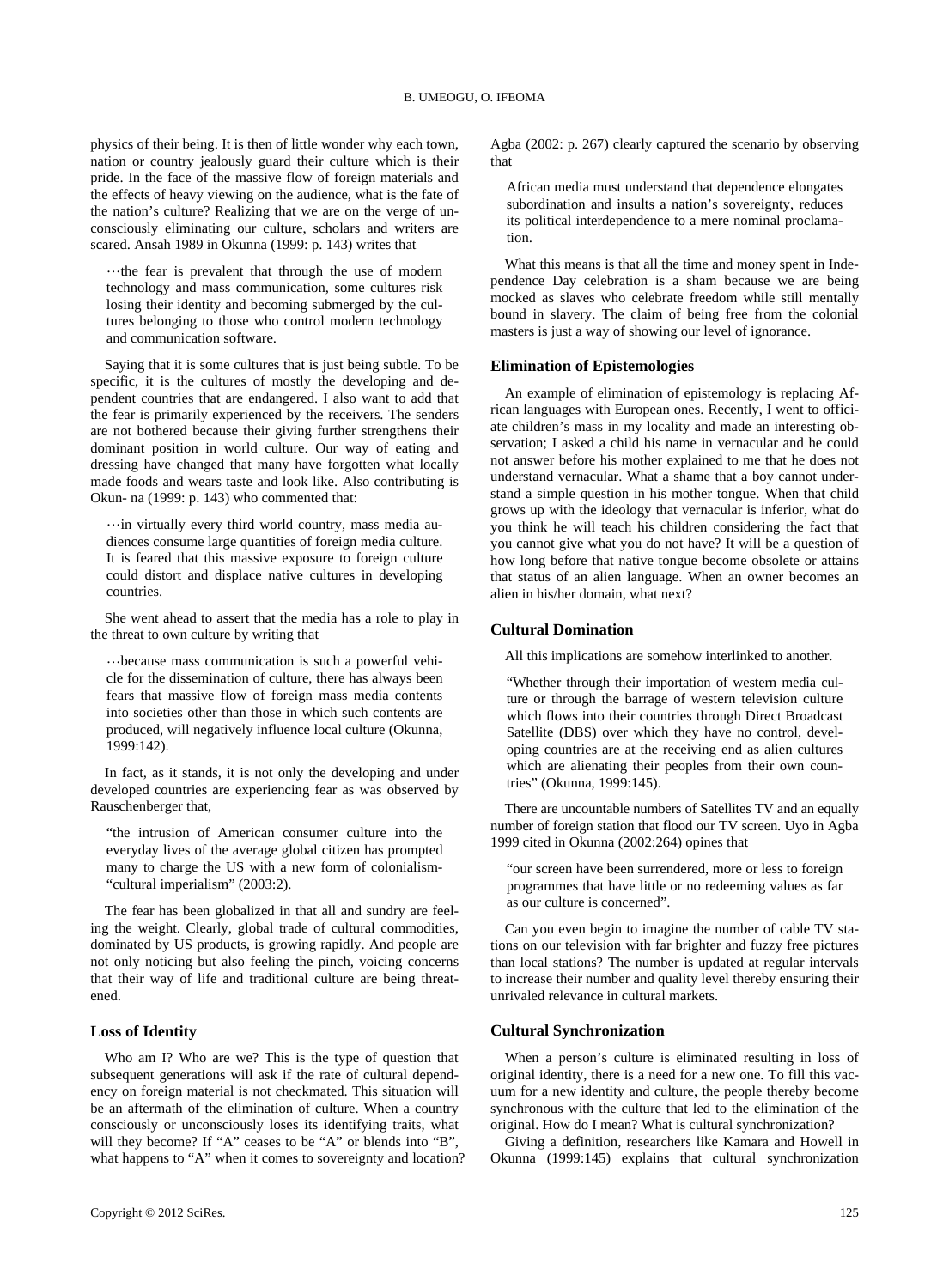physics of their being. It is then of little wonder why each town, nation or country jealously guard their culture which is their pride. In the face of the massive flow of foreign materials and the effects of heavy viewing on the audience, what is the fate of the nation's culture? Realizing that we are on the verge of unconsciously eliminating our culture, scholars and writers are scared. Ansah 1989 in Okunna (1999: p. 143) writes that

…the fear is prevalent that through the use of modern technology and mass communication, some cultures risk losing their identity and becoming submerged by the cultures belonging to those who control modern technology and communication software.

Saying that it is some cultures that is just being subtle. To be specific, it is the cultures of mostly the developing and dependent countries that are endangered. I also want to add that the fear is primarily experienced by the receivers. The senders are not bothered because their giving further strengthens their dominant position in world culture. Our way of eating and dressing have changed that many have forgotten what locally made foods and wears taste and look like. Also contributing is Okun- na (1999: p. 143) who commented that:

…in virtually every third world country, mass media audiences consume large quantities of foreign media culture. It is feared that this massive exposure to foreign culture could distort and displace native cultures in developing countries.

She went ahead to assert that the media has a role to play in the threat to own culture by writing that

…because mass communication is such a powerful vehicle for the dissemination of culture, there has always been fears that massive flow of foreign mass media contents into societies other than those in which such contents are produced, will negatively influence local culture (Okunna, 1999:142).

In fact, as it stands, it is not only the developing and under developed countries are experiencing fear as was observed by Rauschenberger that,

"the intrusion of American consumer culture into the everyday lives of the average global citizen has prompted many to charge the US with a new form of colonialism- "cultural imperialism" (2003:2).

The fear has been globalized in that all and sundry are feeling the weight. Clearly, global trade of cultural commodities, dominated by US products, is growing rapidly. And people are not only noticing but also feeling the pinch, voicing concerns that their way of life and traditional culture are being threatened.

## **Loss of Identity**

Who am I? Who are we? This is the type of question that subsequent generations will ask if the rate of cultural dependency on foreign material is not checkmated. This situation will be an aftermath of the elimination of culture. When a country consciously or unconsciously loses its identifying traits, what will they become? If "A" ceases to be "A" or blends into "B", what happens to "A" when it comes to sovereignty and location? Agba (2002: p. 267) clearly captured the scenario by observing that

African media must understand that dependence elongates subordination and insults a nation's sovereignty, reduces its political interdependence to a mere nominal proclamation.

What this means is that all the time and money spent in Independence Day celebration is a sham because we are being mocked as slaves who celebrate freedom while still mentally bound in slavery. The claim of being free from the colonial masters is just a way of showing our level of ignorance.

## **Elimination of Epistemologies**

An example of elimination of epistemology is replacing African languages with European ones. Recently, I went to officiate children's mass in my locality and made an interesting observation; I asked a child his name in vernacular and he could not answer before his mother explained to me that he does not understand vernacular. What a shame that a boy cannot understand a simple question in his mother tongue. When that child grows up with the ideology that vernacular is inferior, what do you think he will teach his children considering the fact that you cannot give what you do not have? It will be a question of how long before that native tongue become obsolete or attains that status of an alien language. When an owner becomes an alien in his/her domain, what next?

#### **Cultural Domination**

All this implications are somehow interlinked to another.

"Whether through their importation of western media culture or through the barrage of western television culture which flows into their countries through Direct Broadcast Satellite (DBS) over which they have no control, developing countries are at the receiving end as alien cultures which are alienating their peoples from their own countries" (Okunna, 1999:145).

There are uncountable numbers of Satellites TV and an equally number of foreign station that flood our TV screen. Uyo in Agba 1999 cited in Okunna (2002:264) opines that

"our screen have been surrendered, more or less to foreign programmes that have little or no redeeming values as far as our culture is concerned".

Can you even begin to imagine the number of cable TV stations on our television with far brighter and fuzzy free pictures than local stations? The number is updated at regular intervals to increase their number and quality level thereby ensuring their unrivaled relevance in cultural markets.

#### **Cultural Synchronization**

When a person's culture is eliminated resulting in loss of original identity, there is a need for a new one. To fill this vacuum for a new identity and culture, the people thereby become synchronous with the culture that led to the elimination of the original. How do I mean? What is cultural synchronization?

Giving a definition, researchers like Kamara and Howell in Okunna (1999:145) explains that cultural synchronization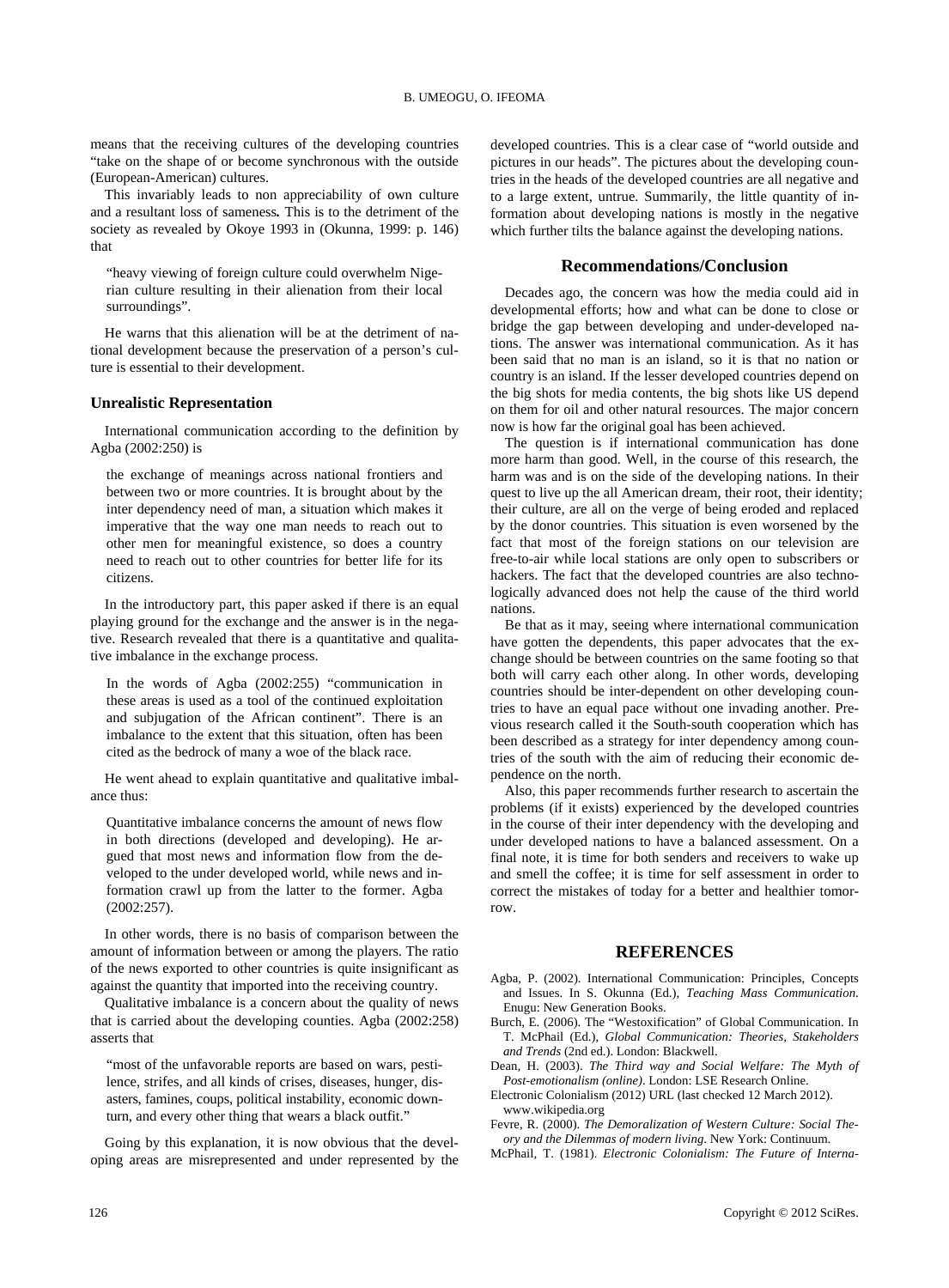means that the receiving cultures of the developing countries "take on the shape of or become synchronous with the outside (European-American) cultures.

This invariably leads to non appreciability of own culture and a resultant loss of sameness*.* This is to the detriment of the society as revealed by Okoye 1993 in (Okunna, 1999: p. 146) that

"heavy viewing of foreign culture could overwhelm Nigerian culture resulting in their alienation from their local surroundings".

He warns that this alienation will be at the detriment of national development because the preservation of a person's culture is essential to their development.

#### **Unrealistic Representation**

International communication according to the definition by Agba (2002:250) is

the exchange of meanings across national frontiers and between two or more countries. It is brought about by the inter dependency need of man, a situation which makes it imperative that the way one man needs to reach out to other men for meaningful existence, so does a country need to reach out to other countries for better life for its citizens.

In the introductory part, this paper asked if there is an equal playing ground for the exchange and the answer is in the negative. Research revealed that there is a quantitative and qualitative imbalance in the exchange process.

In the words of Agba (2002:255) "communication in these areas is used as a tool of the continued exploitation and subjugation of the African continent". There is an imbalance to the extent that this situation, often has been cited as the bedrock of many a woe of the black race.

He went ahead to explain quantitative and qualitative imbalance thus:

Quantitative imbalance concerns the amount of news flow in both directions (developed and developing). He argued that most news and information flow from the developed to the under developed world, while news and information crawl up from the latter to the former. Agba (2002:257).

In other words, there is no basis of comparison between the amount of information between or among the players. The ratio of the news exported to other countries is quite insignificant as against the quantity that imported into the receiving country.

Qualitative imbalance is a concern about the quality of news that is carried about the developing counties. Agba (2002:258) asserts that

"most of the unfavorable reports are based on wars, pestilence, strifes, and all kinds of crises, diseases, hunger, disasters, famines, coups, political instability, economic downturn, and every other thing that wears a black outfit."

Going by this explanation, it is now obvious that the developing areas are misrepresented and under represented by the developed countries. This is a clear case of "world outside and pictures in our heads". The pictures about the developing countries in the heads of the developed countries are all negative and to a large extent, untrue. Summarily, the little quantity of information about developing nations is mostly in the negative which further tilts the balance against the developing nations.

#### **Recommendations/Conclusion**

Decades ago, the concern was how the media could aid in developmental efforts; how and what can be done to close or bridge the gap between developing and under-developed nations. The answer was international communication. As it has been said that no man is an island, so it is that no nation or country is an island. If the lesser developed countries depend on the big shots for media contents, the big shots like US depend on them for oil and other natural resources. The major concern now is how far the original goal has been achieved.

The question is if international communication has done more harm than good. Well, in the course of this research, the harm was and is on the side of the developing nations. In their quest to live up the all American dream, their root, their identity; their culture, are all on the verge of being eroded and replaced by the donor countries. This situation is even worsened by the fact that most of the foreign stations on our television are free-to-air while local stations are only open to subscribers or hackers. The fact that the developed countries are also technologically advanced does not help the cause of the third world nations.

Be that as it may, seeing where international communication have gotten the dependents, this paper advocates that the exchange should be between countries on the same footing so that both will carry each other along. In other words, developing countries should be inter-dependent on other developing countries to have an equal pace without one invading another. Previous research called it the South-south cooperation which has been described as a strategy for inter dependency among countries of the south with the aim of reducing their economic dependence on the north.

Also, this paper recommends further research to ascertain the problems (if it exists) experienced by the developed countries in the course of their inter dependency with the developing and under developed nations to have a balanced assessment. On a final note, it is time for both senders and receivers to wake up and smell the coffee; it is time for self assessment in order to correct the mistakes of today for a better and healthier tomorrow.

## **REFERENCES**

- Agba, P. (2002). International Communication: Principles, Concepts and Issues. In S. Okunna (Ed.), *Teaching Mass Communication*. Enugu: New Generation Books.
- Burch, E. (2006). The "Westoxification" of Global Communication. In T. McPhail (Ed.), *Global Communication: Theories, Stakeholders and Trends* (2nd ed.). London: Blackwell.
- Dean, H. (2003). *The Third way and Social Welfare: The Myth of Post-emotionalism (online)*. London: LSE Research Online.
- Electronic Colonialism (2012) URL (last checked 12 March 2012). www.wikipedia.org

Fevre, R. (2000). *The Demoralization of Western Culture: Social Theory and the Dilemmas of modern living*. New York: Continuum.

McPhail, T. (1981). *Electronic Colonialism: The Future of Interna-*